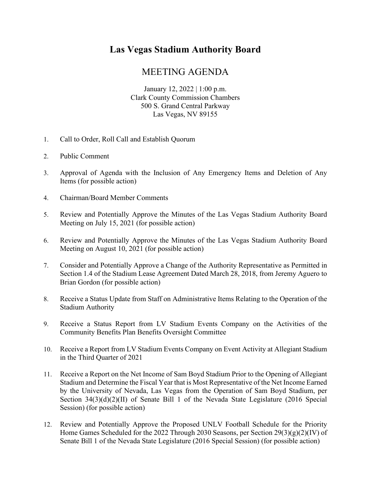## **Las Vegas Stadium Authority Board**

## MEETING AGENDA

January 12, 2022 | 1:00 p.m. Clark County Commission Chambers 500 S. Grand Central Parkway Las Vegas, NV 89155

- 1. Call to Order, Roll Call and Establish Quorum
- 2. Public Comment
- 3. Approval of Agenda with the Inclusion of Any Emergency Items and Deletion of Any Items (for possible action)
- 4. Chairman/Board Member Comments
- 5. Review and Potentially Approve the Minutes of the Las Vegas Stadium Authority Board Meeting on July 15, 2021 (for possible action)
- 6. Review and Potentially Approve the Minutes of the Las Vegas Stadium Authority Board Meeting on August 10, 2021 (for possible action)
- 7. Consider and Potentially Approve a Change of the Authority Representative as Permitted in Section 1.4 of the Stadium Lease Agreement Dated March 28, 2018, from Jeremy Aguero to Brian Gordon (for possible action)
- 8. Receive a Status Update from Staff on Administrative Items Relating to the Operation of the Stadium Authority
- 9. Receive a Status Report from LV Stadium Events Company on the Activities of the Community Benefits Plan Benefits Oversight Committee
- 10. Receive a Report from LV Stadium Events Company on Event Activity at Allegiant Stadium in the Third Quarter of 2021
- 11. Receive a Report on the Net Income of Sam Boyd Stadium Prior to the Opening of Allegiant Stadium and Determine the Fiscal Year that is Most Representative of the Net Income Earned by the University of Nevada, Las Vegas from the Operation of Sam Boyd Stadium, per Section 34(3)(d)(2)(II) of Senate Bill 1 of the Nevada State Legislature (2016 Special Session) (for possible action)
- 12. Review and Potentially Approve the Proposed UNLV Football Schedule for the Priority Home Games Scheduled for the 2022 Through 2030 Seasons, per Section 29(3)(g)(2)(IV) of Senate Bill 1 of the Nevada State Legislature (2016 Special Session) (for possible action)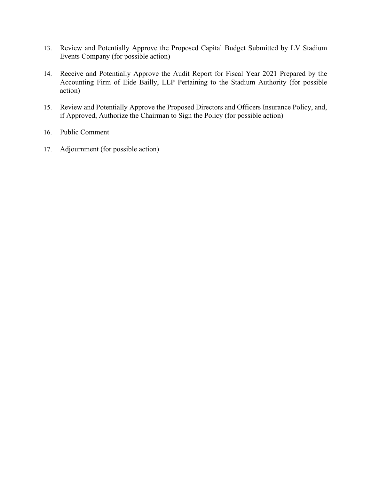- 13. Review and Potentially Approve the Proposed Capital Budget Submitted by LV Stadium Events Company (for possible action)
- 14. Receive and Potentially Approve the Audit Report for Fiscal Year 2021 Prepared by the Accounting Firm of Eide Bailly, LLP Pertaining to the Stadium Authority (for possible action)
- 15. Review and Potentially Approve the Proposed Directors and Officers Insurance Policy, and, if Approved, Authorize the Chairman to Sign the Policy (for possible action)
- 16. Public Comment
- 17. Adjournment (for possible action)